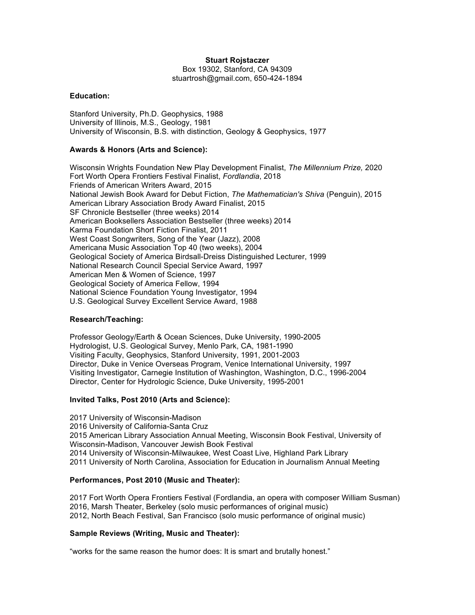# **Stuart Rojstaczer**

Box 19302, Stanford, CA 94309 stuartrosh@gmail.com, 650-424-1894

## **Education:**

Stanford University, Ph.D. Geophysics, 1988 University of Illinois, M.S., Geology, 1981 University of Wisconsin, B.S. with distinction, Geology & Geophysics, 1977

# **Awards & Honors (Arts and Science):**

Wisconsin Wrights Foundation New Play Development Finalist, *The Millennium Prize,* 2020 Fort Worth Opera Frontiers Festival Finalist, *Fordlandia*, 2018 Friends of American Writers Award, 2015 National Jewish Book Award for Debut Fiction, *The Mathematician's Shiva* (Penguin), 2015 American Library Association Brody Award Finalist, 2015 SF Chronicle Bestseller (three weeks) 2014 American Booksellers Association Bestseller (three weeks) 2014 Karma Foundation Short Fiction Finalist, 2011 West Coast Songwriters, Song of the Year (Jazz), 2008 Americana Music Association Top 40 (two weeks), 2004 Geological Society of America Birdsall-Dreiss Distinguished Lecturer, 1999 National Research Council Special Service Award, 1997 American Men & Women of Science, 1997 Geological Society of America Fellow, 1994 National Science Foundation Young Investigator, 1994 U.S. Geological Survey Excellent Service Award, 1988

## **Research/Teaching:**

Professor Geology/Earth & Ocean Sciences, Duke University, 1990-2005 Hydrologist, U.S. Geological Survey, Menlo Park, CA, 1981-1990 Visiting Faculty, Geophysics, Stanford University, 1991, 2001-2003 Director, Duke in Venice Overseas Program, Venice International University, 1997 Visiting Investigator, Carnegie Institution of Washington, Washington, D.C., 1996-2004 Director, Center for Hydrologic Science, Duke University, 1995-2001

#### **Invited Talks, Post 2010 (Arts and Science):**

2017 University of Wisconsin-Madison 2016 University of California-Santa Cruz 2015 American Library Association Annual Meeting, Wisconsin Book Festival, University of Wisconsin-Madison, Vancouver Jewish Book Festival 2014 University of Wisconsin-Milwaukee, West Coast Live, Highland Park Library 2011 University of North Carolina, Association for Education in Journalism Annual Meeting

## **Performances, Post 2010 (Music and Theater):**

2017 Fort Worth Opera Frontiers Festival (Fordlandia, an opera with composer William Susman) 2016, Marsh Theater, Berkeley (solo music performances of original music) 2012, North Beach Festival, San Francisco (solo music performance of original music)

# **Sample Reviews (Writing, Music and Theater):**

"works for the same reason the humor does: It is smart and brutally honest."